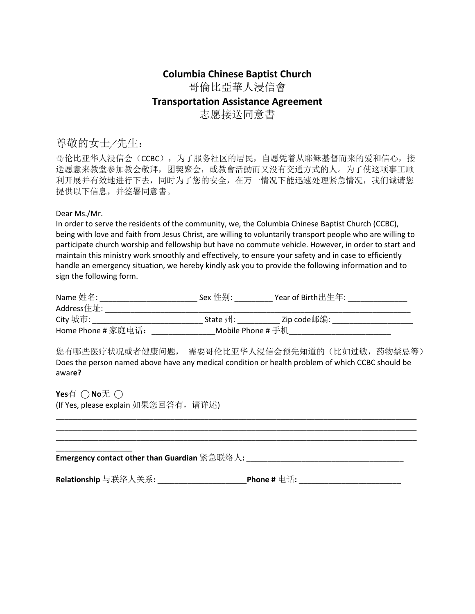## **Columbia Chinese Baptist Church**

哥倫比亞華人浸信會

## **Transportation Assistance Agreement**

志愿接送同意書

# 尊敬的女士/先生:

哥伦比亚华人浸信会(CCBC), 为了服务社区的居民, 自愿凭着从耶稣基督而来的爱和信心, 接 送愿意来教堂参加教会敬拜,团契聚会,或教會活動而又没有交通方式的人。为了使这项事工顺 利开展并有效地进行下去,同时为了您的安全,在万一情况下能迅速处理紧急情况,我们诚请您 提供以下信息,并签署同意書。

### Dear Ms./Mr.

In order to serve the residents of the community, we, the Columbia Chinese Baptist Church (CCBC), being with love and faith from Jesus Christ, are willing to voluntarily transport people who are willing to participate church worship and fellowship but have no commute vehicle. However, in order to start and maintain this ministry work smoothly and effectively, to ensure your safety and in case to efficiently handle an emergency situation, we hereby kindly ask you to provide the following information and to sign the following form.

| Name 姓名:           | Sex 性别:                        | Year of Birth出生年: |  |
|--------------------|--------------------------------|-------------------|--|
| Address住址:         |                                |                   |  |
| City 城市:           | State 州:                       | Zip code邮编:       |  |
| Home Phone # 家庭电话: | Mobile <code>Phone</code> # 手机 |                   |  |

您有哪些医疗状况或者健康问题, 需要哥伦比亚华人浸信会预先知道的(比如过敏,药物禁忌等) Does the person named above have any medical condition or health problem of which CCBC should be awar**e?** 

**Yes**有 ○ **No**无 ○ (If Yes, please explain 如果您回答有,请详述)

| Emergency contact other than Guardian 紧急联络人: |             |
|----------------------------------------------|-------------|
|                                              |             |
| Relationship 与联络人关系: 」                       | Phone # 电话: |

\_\_\_\_\_\_\_\_\_\_\_\_\_\_\_\_\_\_\_\_\_\_\_\_\_\_\_\_\_\_\_\_\_\_\_\_\_\_\_\_\_\_\_\_\_\_\_\_\_\_\_\_\_\_\_\_\_\_\_\_\_\_\_\_\_\_\_\_\_\_\_\_\_\_\_\_\_\_\_\_\_\_\_\_\_ \_\_\_\_\_\_\_\_\_\_\_\_\_\_\_\_\_\_\_\_\_\_\_\_\_\_\_\_\_\_\_\_\_\_\_\_\_\_\_\_\_\_\_\_\_\_\_\_\_\_\_\_\_\_\_\_\_\_\_\_\_\_\_\_\_\_\_\_\_\_\_\_\_\_\_\_\_\_\_\_\_\_\_\_\_